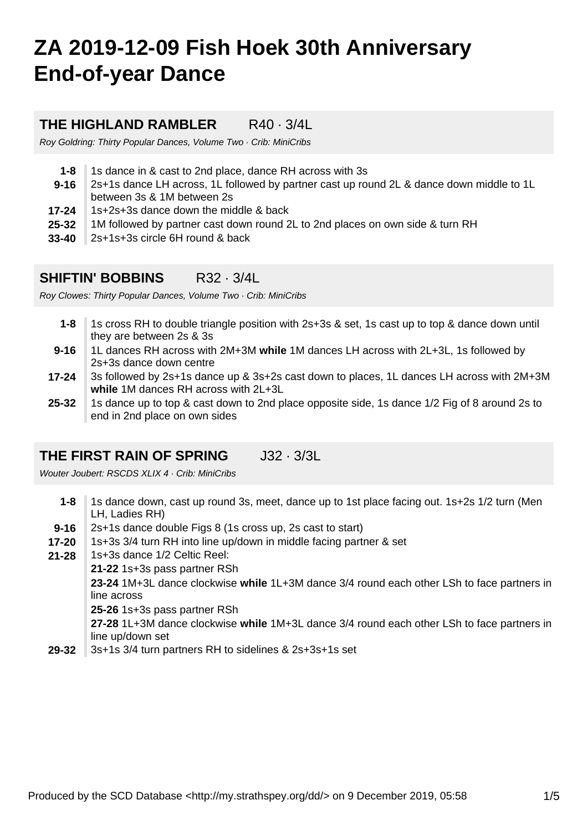# **ZA 2019-12-09 Fish Hoek 30th Anniversary End-of-year Dance**

## **THE HIGHLAND RAMBLER** R40 · 3/4L

Roy Goldring: Thirty Popular Dances, Volume Two · Crib: MiniCribs

- **1-8** 1s dance in & cast to 2nd place, dance RH across with 3s
- **9-16** 2s+1s dance LH across, 1L followed by partner cast up round 2L & dance down middle to 1L between 3s & 1M between 2s
- **17-24** 1s+2s+3s dance down the middle & back
- **25-32** 1M followed by partner cast down round 2L to 2nd places on own side & turn RH
- **33-40** 2s+1s+3s circle 6H round & back

# **SHIFTIN' BOBBINS** R32 · 3/4L

Roy Clowes: Thirty Popular Dances, Volume Two · Crib: MiniCribs

- **1-8** 1s cross RH to double triangle position with 2s+3s & set, 1s cast up to top & dance down until they are between 2s & 3s
- **9-16** 1L dances RH across with 2M+3M **while** 1M dances LH across with 2L+3L, 1s followed by 2s+3s dance down centre
- **17-24** 3s followed by 2s+1s dance up & 3s+2s cast down to places, 1L dances LH across with 2M+3M **while** 1M dances RH across with 2L+3L
- **25-32** 1s dance up to top & cast down to 2nd place opposite side, 1s dance 1/2 Fig of 8 around 2s to end in 2nd place on own sides

# **THE FIRST RAIN OF SPRING** J32 · 3/3L

Wouter Joubert: RSCDS XLIX 4 · Crib: MiniCribs

- **1-8** 1s dance down, cast up round 3s, meet, dance up to 1st place facing out. 1s+2s 1/2 turn (Men LH, Ladies RH)
- **9-16** 2s+1s dance double Figs 8 (1s cross up, 2s cast to start)
- **17-20** 1s+3s 3/4 turn RH into line up/down in middle facing partner & set
- **21-28** 1s+3s dance 1/2 Celtic Reel:
	- **21-22** 1s+3s pass partner RSh

**23-24** 1M+3L dance clockwise **while** 1L+3M dance 3/4 round each other LSh to face partners in line across

**25-26** 1s+3s pass partner RSh

**27-28** 1L+3M dance clockwise **while** 1M+3L dance 3/4 round each other LSh to face partners in line up/down set

**29-32** 3s+1s 3/4 turn partners RH to sidelines & 2s+3s+1s set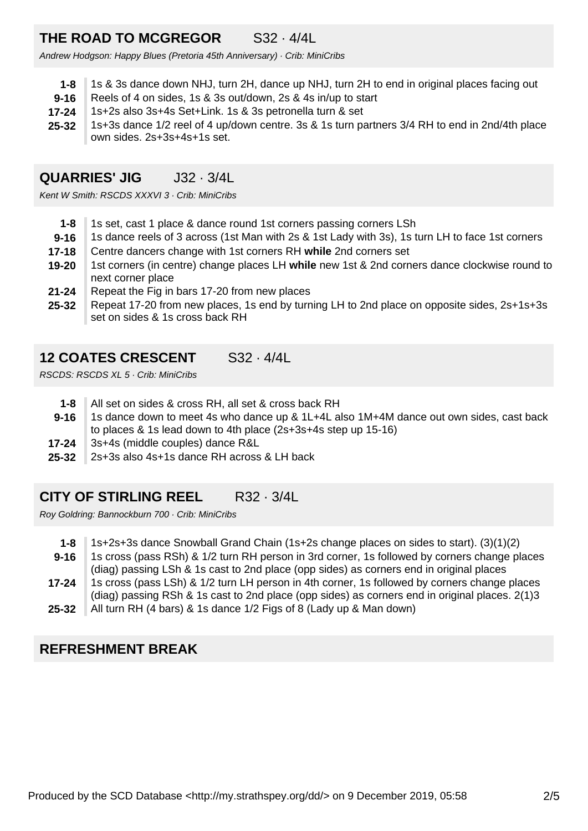# **THE ROAD TO MCGREGOR** S32 · 4/4L

Andrew Hodgson: Happy Blues (Pretoria 45th Anniversary) · Crib: MiniCribs

- **1-8** 1s & 3s dance down NHJ, turn 2H, dance up NHJ, turn 2H to end in original places facing out
- **9-16** Reels of 4 on sides, 1s & 3s out/down, 2s & 4s in/up to start
- **17-24** 1s+2s also 3s+4s Set+Link. 1s & 3s petronella turn & set
- **25-32** 1s+3s dance 1/2 reel of 4 up/down centre. 3s & 1s turn partners 3/4 RH to end in 2nd/4th place own sides. 2s+3s+4s+1s set.

# **QUARRIES' JIG** J32 · 3/4L

Kent W Smith: RSCDS XXXVI 3 · Crib: MiniCribs

- **1-8** 1s set, cast 1 place & dance round 1st corners passing corners LSh
- **9-16** 1s dance reels of 3 across (1st Man with 2s & 1st Lady with 3s), 1s turn LH to face 1st corners
- **17-18** Centre dancers change with 1st corners RH **while** 2nd corners set
- **19-20** 1st corners (in centre) change places LH **while** new 1st & 2nd corners dance clockwise round to next corner place
- **21-24** Repeat the Fig in bars 17-20 from new places
- **25-32** Repeat 17-20 from new places, 1s end by turning LH to 2nd place on opposite sides, 2s+1s+3s set on sides & 1s cross back RH

#### **12 COATES CRESCENT** S32 · 4/4L

RSCDS: RSCDS XL 5 · Crib: MiniCribs

- **1-8** All set on sides & cross RH, all set & cross back RH
- **9-16** 1s dance down to meet 4s who dance up & 1L+4L also 1M+4M dance out own sides, cast back to places & 1s lead down to 4th place (2s+3s+4s step up 15-16)
- **17-24** 3s+4s (middle couples) dance R&L
- **25-32** 2s+3s also 4s+1s dance RH across & LH back

## **CITY OF STIRLING REEL** R32 · 3/4L

Roy Goldring: Bannockburn 700 · Crib: MiniCribs

| 1-8       | 1s+2s+3s dance Snowball Grand Chain (1s+2s change places on sides to start). (3)(1)(2)         |
|-----------|------------------------------------------------------------------------------------------------|
| $9 - 16$  | 1s cross (pass RSh) & 1/2 turn RH person in 3rd corner, 1s followed by corners change places   |
|           | (diag) passing LSh & 1s cast to 2nd place (opp sides) as corners end in original places        |
| $17 - 24$ | 1s cross (pass LSh) & 1/2 turn LH person in 4th corner, 1s followed by corners change places   |
|           | (diag) passing RSh & 1s cast to 2nd place (opp sides) as corners end in original places. 2(1)3 |
| 25-32     | All turn RH (4 bars) & 1s dance 1/2 Figs of 8 (Lady up & Man down)                             |

## **REFRESHMENT BREAK**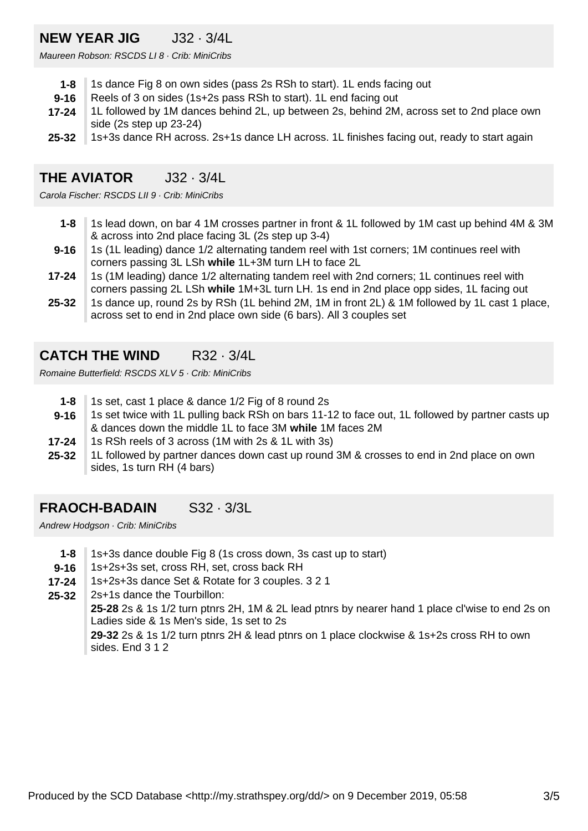## **NEW YEAR JIG** J32 · 3/4L

Maureen Robson: RSCDS LI 8 · Crib: MiniCribs

- **1-8** 1s dance Fig 8 on own sides (pass 2s RSh to start). 1L ends facing out
- **9-16** Reels of 3 on sides (1s+2s pass RSh to start). 1L end facing out
- **17-24** 1L followed by 1M dances behind 2L, up between 2s, behind 2M, across set to 2nd place own side (2s step up 23-24)
- **25-32** 1s+3s dance RH across. 2s+1s dance LH across. 1L finishes facing out, ready to start again

# **THE AVIATOR J32 · 3/4L**

Carola Fischer: RSCDS LII 9 · Crib: MiniCribs

- **1-8** 1s lead down, on bar 4 1M crosses partner in front & 1L followed by 1M cast up behind 4M & 3M & across into 2nd place facing 3L (2s step up 3-4)
- **9-16** 1s (1L leading) dance 1/2 alternating tandem reel with 1st corners; 1M continues reel with corners passing 3L LSh **while** 1L+3M turn LH to face 2L
- **17-24** 1s (1M leading) dance 1/2 alternating tandem reel with 2nd corners; 1L continues reel with corners passing 2L LSh **while** 1M+3L turn LH. 1s end in 2nd place opp sides, 1L facing out
- **25-32** 1s dance up, round 2s by RSh (1L behind 2M, 1M in front 2L) & 1M followed by 1L cast 1 place, across set to end in 2nd place own side (6 bars). All 3 couples set

## **CATCH THE WIND** R32 · 3/4L

Romaine Butterfield: RSCDS XLV 5 · Crib: MiniCribs

- **1-8** 1s set, cast 1 place & dance 1/2 Fig of 8 round 2s
- **9-16** 1s set twice with 1L pulling back RSh on bars 11-12 to face out, 1L followed by partner casts up & dances down the middle 1L to face 3M **while** 1M faces 2M
- **17-24** 1s RSh reels of 3 across (1M with 2s & 1L with 3s)
- **25-32** 1L followed by partner dances down cast up round 3M & crosses to end in 2nd place on own sides, 1s turn RH (4 bars)

# **FRAOCH-BADAIN** S32 · 3/3L

Andrew Hodgson · Crib: MiniCribs

- **1-8** 1s+3s dance double Fig 8 (1s cross down, 3s cast up to start)
- **9-16** 1s+2s+3s set, cross RH, set, cross back RH
- **17-24** 1s+2s+3s dance Set & Rotate for 3 couples. 3 2 1
- **25-32** 2s+1s dance the Tourbillon:

**25-28** 2s & 1s 1/2 turn ptnrs 2H, 1M & 2L lead ptnrs by nearer hand 1 place cl'wise to end 2s on Ladies side & 1s Men's side, 1s set to 2s

**29-32** 2s & 1s 1/2 turn ptnrs 2H & lead ptnrs on 1 place clockwise & 1s+2s cross RH to own sides. End 3 1 2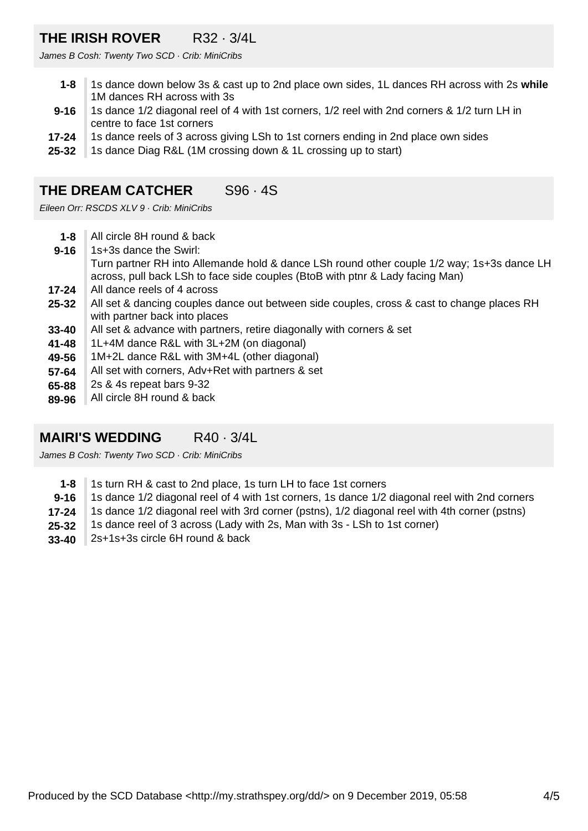# **THE IRISH ROVER** R32 · 3/4L

James B Cosh: Twenty Two SCD · Crib: MiniCribs

- **1-8** 1s dance down below 3s & cast up to 2nd place own sides, 1L dances RH across with 2s **while** 1M dances RH across with 3s
- **9-16** 1s dance 1/2 diagonal reel of 4 with 1st corners, 1/2 reel with 2nd corners & 1/2 turn LH in centre to face 1st corners
- **17-24** 1s dance reels of 3 across giving LSh to 1st corners ending in 2nd place own sides
- **25-32** 1s dance Diag R&L (1M crossing down & 1L crossing up to start)

## **THE DREAM CATCHER** S96 · 4S

Eileen Orr: RSCDS XLV 9 · Crib: MiniCribs

- **1-8** All circle 8H round & back
- **9-16** 1s+3s dance the Swirl: Turn partner RH into Allemande hold & dance LSh round other couple 1/2 way; 1s+3s dance LH across, pull back LSh to face side couples (BtoB with ptnr & Lady facing Man)
- **17-24** All dance reels of 4 across
- **25-32** All set & dancing couples dance out between side couples, cross & cast to change places RH with partner back into places
- **33-40** All set & advance with partners, retire diagonally with corners & set
- **41-48** 1L+4M dance R&L with 3L+2M (on diagonal)
- **49-56** 1M+2L dance R&L with 3M+4L (other diagonal)
- **57-64** All set with corners, Adv+Ret with partners & set
- **65-88** 2s & 4s repeat bars 9-32
- **89-96** All circle 8H round & back

## **MAIRI'S WEDDING** R40 · 3/4L

James B Cosh: Twenty Two SCD · Crib: MiniCribs

- **1-8** 1s turn RH & cast to 2nd place, 1s turn LH to face 1st corners
- **9-16** 1s dance 1/2 diagonal reel of 4 with 1st corners, 1s dance 1/2 diagonal reel with 2nd corners
- **17-24** 1s dance 1/2 diagonal reel with 3rd corner (pstns), 1/2 diagonal reel with 4th corner (pstns)
- **25-32** 1s dance reel of 3 across (Lady with 2s, Man with 3s - LSh to 1st corner)
- **33-40** 2s+1s+3s circle 6H round & back